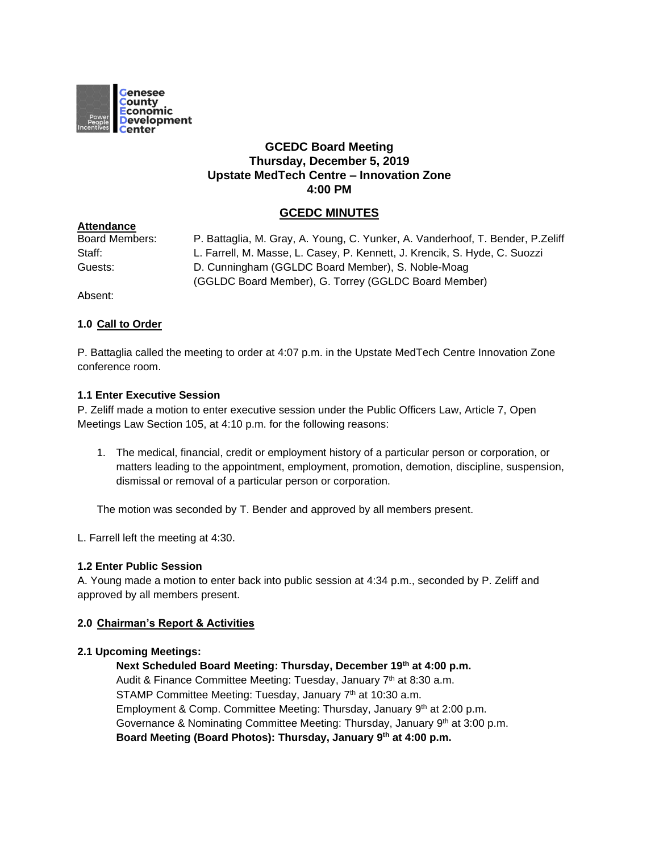

# **GCEDC Board Meeting Thursday, December 5, 2019 Upstate MedTech Centre – Innovation Zone 4:00 PM**

# **GCEDC MINUTES**

| <b>Allenualive</b> |                                                                                |
|--------------------|--------------------------------------------------------------------------------|
| Board Members:     | P. Battaglia, M. Gray, A. Young, C. Yunker, A. Vanderhoof, T. Bender, P.Zeliff |
| Staff:             | L. Farrell, M. Masse, L. Casey, P. Kennett, J. Krencik, S. Hyde, C. Suozzi     |
| Guests:            | D. Cunningham (GGLDC Board Member), S. Noble-Moag                              |
|                    | (GGLDC Board Member), G. Torrey (GGLDC Board Member)                           |
|                    |                                                                                |

Absent:

**Attendance**

## **1.0 Call to Order**

P. Battaglia called the meeting to order at 4:07 p.m. in the Upstate MedTech Centre Innovation Zone conference room.

## **1.1 Enter Executive Session**

P. Zeliff made a motion to enter executive session under the Public Officers Law, Article 7, Open Meetings Law Section 105, at 4:10 p.m. for the following reasons:

1. The medical, financial, credit or employment history of a particular person or corporation, or matters leading to the appointment, employment, promotion, demotion, discipline, suspension, dismissal or removal of a particular person or corporation.

The motion was seconded by T. Bender and approved by all members present.

L. Farrell left the meeting at 4:30.

# **1.2 Enter Public Session**

A. Young made a motion to enter back into public session at 4:34 p.m., seconded by P. Zeliff and approved by all members present.

# **2.0 Chairman's Report & Activities**

### **2.1 Upcoming Meetings:**

**Next Scheduled Board Meeting: Thursday, December 19th at 4:00 p.m.** Audit & Finance Committee Meeting: Tuesday, January 7<sup>th</sup> at 8:30 a.m. STAMP Committee Meeting: Tuesday, January 7<sup>th</sup> at 10:30 a.m. Employment & Comp. Committee Meeting: Thursday, January 9<sup>th</sup> at 2:00 p.m. Governance & Nominating Committee Meeting: Thursday, January 9<sup>th</sup> at 3:00 p.m. **Board Meeting (Board Photos): Thursday, January 9th at 4:00 p.m.**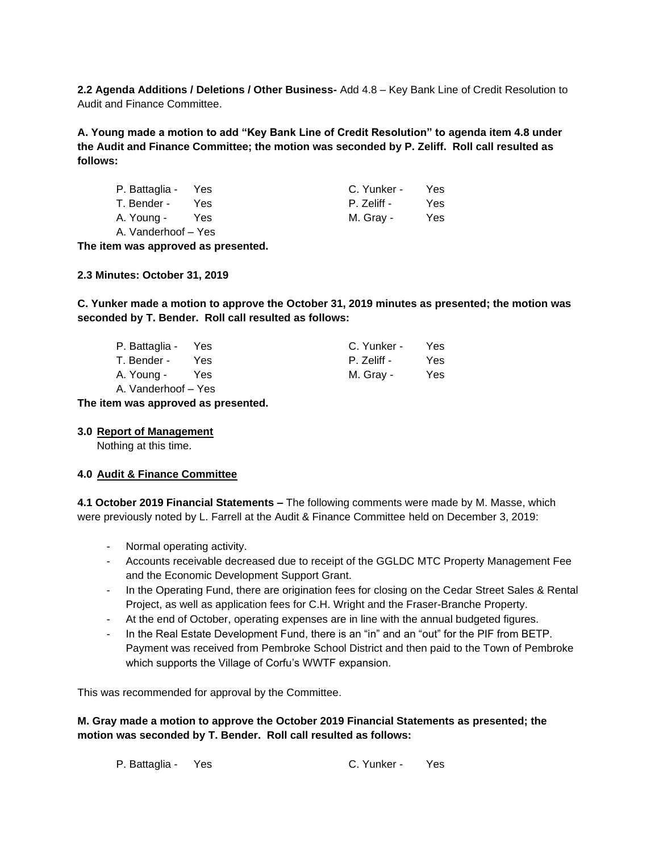**2.2 Agenda Additions / Deletions / Other Business-** Add 4.8 – Key Bank Line of Credit Resolution to Audit and Finance Committee.

**A. Young made a motion to add "Key Bank Line of Credit Resolution" to agenda item 4.8 under the Audit and Finance Committee; the motion was seconded by P. Zeliff. Roll call resulted as follows:**

| P. Battaglia - Yes  |     | C. Yunker - | Yes. |
|---------------------|-----|-------------|------|
| T. Bender -         | Yes | P. Zeliff - | Yes. |
| A. Young -          | Yes | M. Gray -   | Yes. |
| A. Vanderhoof - Yes |     |             |      |

**The item was approved as presented.**

**2.3 Minutes: October 31, 2019**

**C. Yunker made a motion to approve the October 31, 2019 minutes as presented; the motion was seconded by T. Bender. Roll call resulted as follows:**

| P. Battaglia - Yes  |     | C. Yunker - | Yes  |
|---------------------|-----|-------------|------|
| T. Bender -         | Yes | P. Zeliff - | Yes. |
| A. Young -          | Yes | M. Gray -   | Yes  |
| A. Vanderhoof - Yes |     |             |      |

**The item was approved as presented.**

### **3.0 Report of Management**

Nothing at this time.

# **4.0 Audit & Finance Committee**

**4.1 October 2019 Financial Statements –** The following comments were made by M. Masse, which were previously noted by L. Farrell at the Audit & Finance Committee held on December 3, 2019:

- Normal operating activity.
- Accounts receivable decreased due to receipt of the GGLDC MTC Property Management Fee and the Economic Development Support Grant.
- In the Operating Fund, there are origination fees for closing on the Cedar Street Sales & Rental Project, as well as application fees for C.H. Wright and the Fraser-Branche Property.
- At the end of October, operating expenses are in line with the annual budgeted figures.
- In the Real Estate Development Fund, there is an "in" and an "out" for the PIF from BETP. Payment was received from Pembroke School District and then paid to the Town of Pembroke which supports the Village of Corfu's WWTF expansion.

This was recommended for approval by the Committee.

# **M. Gray made a motion to approve the October 2019 Financial Statements as presented; the motion was seconded by T. Bender. Roll call resulted as follows:**

P. Battaglia - Yes C. Yunker - Yes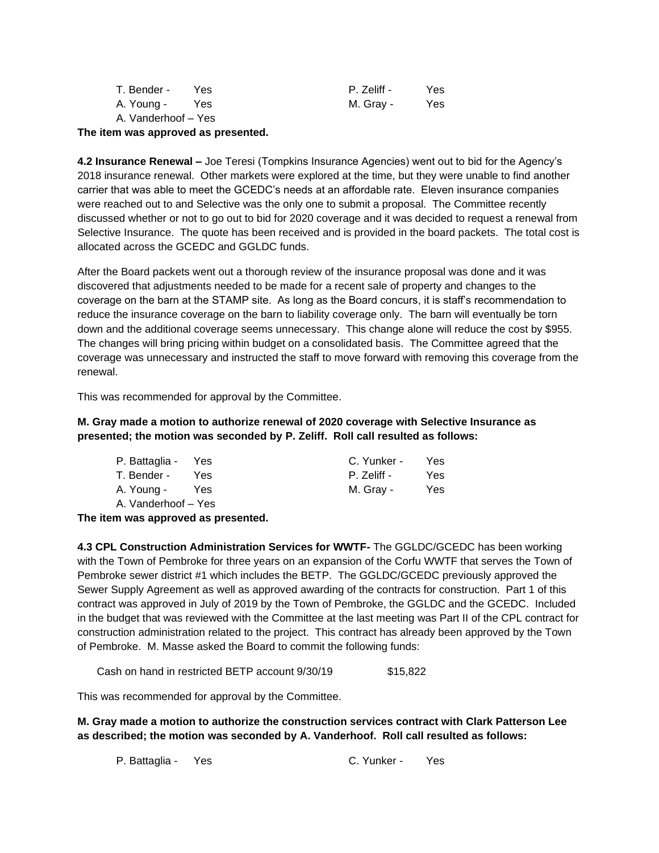| T. Bender -         | Yes | P. Zeliff - | Yes |
|---------------------|-----|-------------|-----|
| A. Young -          | Yes | M. Gray -   | Yes |
| A. Vanderhoof – Yes |     |             |     |

### **The item was approved as presented.**

**4.2 Insurance Renewal –** Joe Teresi (Tompkins Insurance Agencies) went out to bid for the Agency's 2018 insurance renewal. Other markets were explored at the time, but they were unable to find another carrier that was able to meet the GCEDC's needs at an affordable rate. Eleven insurance companies were reached out to and Selective was the only one to submit a proposal. The Committee recently discussed whether or not to go out to bid for 2020 coverage and it was decided to request a renewal from Selective Insurance. The quote has been received and is provided in the board packets. The total cost is allocated across the GCEDC and GGLDC funds.

After the Board packets went out a thorough review of the insurance proposal was done and it was discovered that adjustments needed to be made for a recent sale of property and changes to the coverage on the barn at the STAMP site. As long as the Board concurs, it is staff's recommendation to reduce the insurance coverage on the barn to liability coverage only. The barn will eventually be torn down and the additional coverage seems unnecessary. This change alone will reduce the cost by \$955. The changes will bring pricing within budget on a consolidated basis. The Committee agreed that the coverage was unnecessary and instructed the staff to move forward with removing this coverage from the renewal.

This was recommended for approval by the Committee.

**M. Gray made a motion to authorize renewal of 2020 coverage with Selective Insurance as presented; the motion was seconded by P. Zeliff. Roll call resulted as follows:**

| P. Battaglia - Yes  |     | C. Yunker - | Yes |
|---------------------|-----|-------------|-----|
| T. Bender -         | Yes | P. Zeliff - | Yes |
| A. Young -          | Yes | M. Gray -   | Yes |
| A. Vanderhoof – Yes |     |             |     |

**The item was approved as presented.**

**4.3 CPL Construction Administration Services for WWTF-** The GGLDC/GCEDC has been working with the Town of Pembroke for three years on an expansion of the Corfu WWTF that serves the Town of Pembroke sewer district #1 which includes the BETP. The GGLDC/GCEDC previously approved the Sewer Supply Agreement as well as approved awarding of the contracts for construction. Part 1 of this contract was approved in July of 2019 by the Town of Pembroke, the GGLDC and the GCEDC. Included in the budget that was reviewed with the Committee at the last meeting was Part II of the CPL contract for construction administration related to the project. This contract has already been approved by the Town of Pembroke. M. Masse asked the Board to commit the following funds:

Cash on hand in restricted BETP account 9/30/19 \$15,822

This was recommended for approval by the Committee.

**M. Gray made a motion to authorize the construction services contract with Clark Patterson Lee as described; the motion was seconded by A. Vanderhoof. Roll call resulted as follows:**

P. Battaglia - Yes C. Yunker - Yes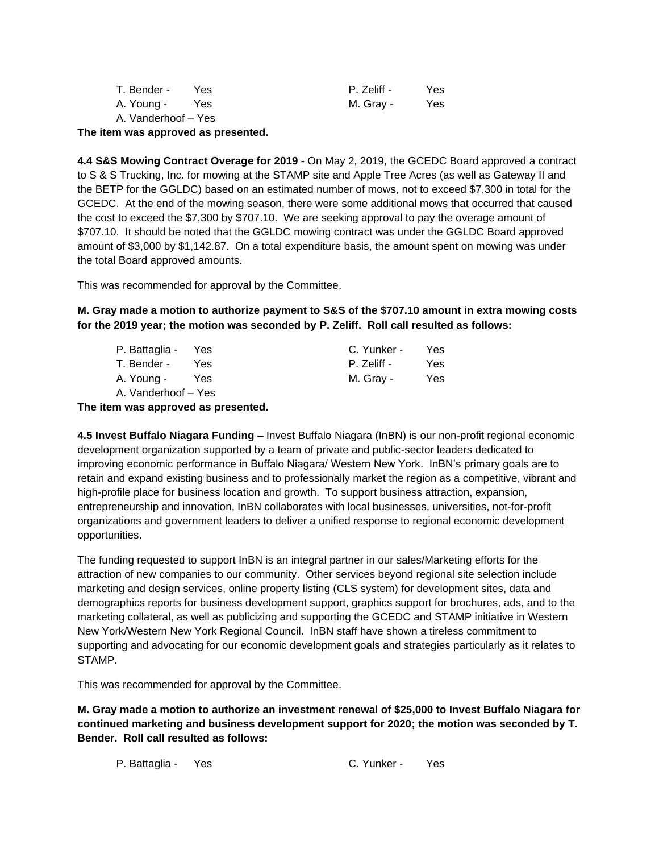| T. Bender -         | Yes | P. Zeliff - | Yes |
|---------------------|-----|-------------|-----|
| A. Young -          | Yes | M. Gray -   | Yes |
| A. Vanderhoof - Yes |     |             |     |

**The item was approved as presented.**

**4.4 S&S Mowing Contract Overage for 2019 -** On May 2, 2019, the GCEDC Board approved a contract to S & S Trucking, Inc. for mowing at the STAMP site and Apple Tree Acres (as well as Gateway II and the BETP for the GGLDC) based on an estimated number of mows, not to exceed \$7,300 in total for the GCEDC. At the end of the mowing season, there were some additional mows that occurred that caused the cost to exceed the \$7,300 by \$707.10. We are seeking approval to pay the overage amount of \$707.10. It should be noted that the GGLDC mowing contract was under the GGLDC Board approved amount of \$3,000 by \$1,142.87. On a total expenditure basis, the amount spent on mowing was under the total Board approved amounts.

This was recommended for approval by the Committee.

**M. Gray made a motion to authorize payment to S&S of the \$707.10 amount in extra mowing costs for the 2019 year; the motion was seconded by P. Zeliff. Roll call resulted as follows:**

| P. Battaglia - Yes  |      | C. Yunker - | Yes |
|---------------------|------|-------------|-----|
| T. Bender -         | Yes. | P. Zeliff - | Yes |
| A. Young -          | Yes  | M. Gray -   | Yes |
| A. Vanderhoof – Yes |      |             |     |

**The item was approved as presented.**

**4.5 Invest Buffalo Niagara Funding –** Invest Buffalo Niagara (InBN) is our non-profit regional economic development organization supported by a team of private and public-sector leaders dedicated to improving economic performance in Buffalo Niagara/ Western New York. InBN's primary goals are to retain and expand existing business and to professionally market the region as a competitive, vibrant and high-profile place for business location and growth. To support business attraction, expansion, entrepreneurship and innovation, InBN collaborates with local businesses, universities, not-for-profit organizations and government leaders to deliver a unified response to regional economic development opportunities.

The funding requested to support InBN is an integral partner in our sales/Marketing efforts for the attraction of new companies to our community. Other services beyond regional site selection include marketing and design services, online property listing (CLS system) for development sites, data and demographics reports for business development support, graphics support for brochures, ads, and to the marketing collateral, as well as publicizing and supporting the GCEDC and STAMP initiative in Western New York/Western New York Regional Council. InBN staff have shown a tireless commitment to supporting and advocating for our economic development goals and strategies particularly as it relates to STAMP.

This was recommended for approval by the Committee.

**M. Gray made a motion to authorize an investment renewal of \$25,000 to Invest Buffalo Niagara for continued marketing and business development support for 2020; the motion was seconded by T. Bender. Roll call resulted as follows:**

P. Battaglia - Yes C. Yunker - Yes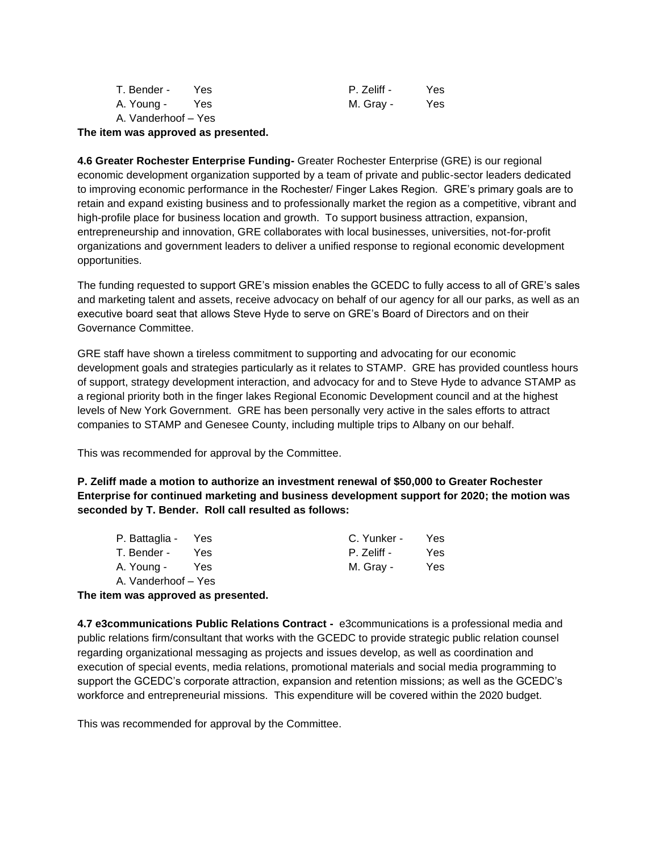| T. Bender -         | Yes | P. Zeliff - | Yes |
|---------------------|-----|-------------|-----|
| A. Young -          | Yes | M. Gray -   | Yes |
| A. Vanderhoof - Yes |     |             |     |

**The item was approved as presented.**

**4.6 Greater Rochester Enterprise Funding-** Greater Rochester Enterprise (GRE) is our regional economic development organization supported by a team of private and public-sector leaders dedicated to improving economic performance in the Rochester/ Finger Lakes Region. GRE's primary goals are to retain and expand existing business and to professionally market the region as a competitive, vibrant and high-profile place for business location and growth. To support business attraction, expansion, entrepreneurship and innovation, GRE collaborates with local businesses, universities, not-for-profit organizations and government leaders to deliver a unified response to regional economic development opportunities.

The funding requested to support GRE's mission enables the GCEDC to fully access to all of GRE's sales and marketing talent and assets, receive advocacy on behalf of our agency for all our parks, as well as an executive board seat that allows Steve Hyde to serve on GRE's Board of Directors and on their Governance Committee.

GRE staff have shown a tireless commitment to supporting and advocating for our economic development goals and strategies particularly as it relates to STAMP. GRE has provided countless hours of support, strategy development interaction, and advocacy for and to Steve Hyde to advance STAMP as a regional priority both in the finger lakes Regional Economic Development council and at the highest levels of New York Government. GRE has been personally very active in the sales efforts to attract companies to STAMP and Genesee County, including multiple trips to Albany on our behalf.

This was recommended for approval by the Committee.

**P. Zeliff made a motion to authorize an investment renewal of \$50,000 to Greater Rochester Enterprise for continued marketing and business development support for 2020; the motion was seconded by T. Bender. Roll call resulted as follows:**

| P. Battaglia - Yes  |     | C. Yunker - | Yes |
|---------------------|-----|-------------|-----|
| T. Bender -         | Yes | P. Zeliff - | Yes |
| A. Young -          | Yes | M. Gray -   | Yes |
| A. Vanderhoof - Yes |     |             |     |

**The item was approved as presented.**

**4.7 e3communications Public Relations Contract -** e3communications is a professional media and public relations firm/consultant that works with the GCEDC to provide strategic public relation counsel regarding organizational messaging as projects and issues develop, as well as coordination and execution of special events, media relations, promotional materials and social media programming to support the GCEDC's corporate attraction, expansion and retention missions; as well as the GCEDC's workforce and entrepreneurial missions. This expenditure will be covered within the 2020 budget.

This was recommended for approval by the Committee.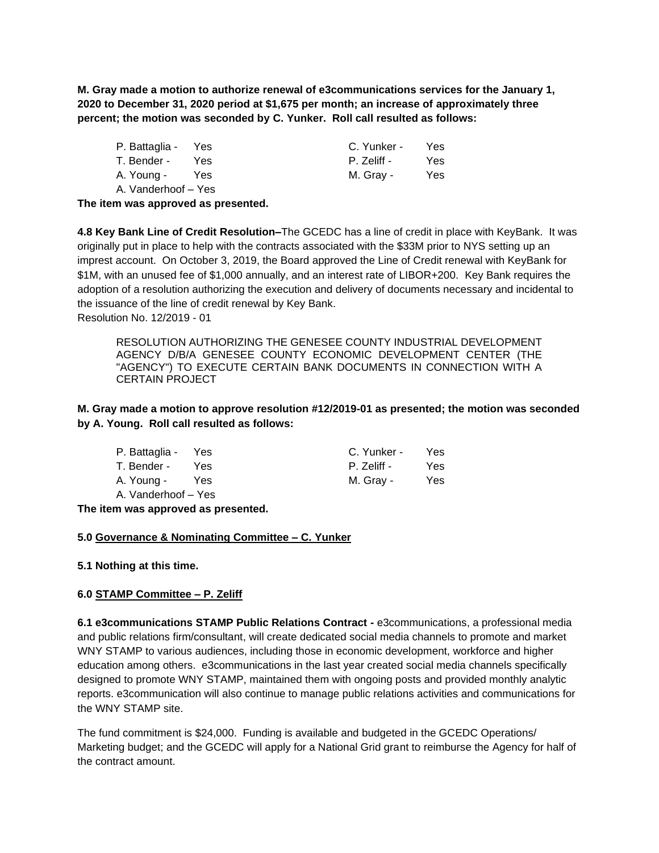**M. Gray made a motion to authorize renewal of e3communications services for the January 1, 2020 to December 31, 2020 period at \$1,675 per month; an increase of approximately three percent; the motion was seconded by C. Yunker. Roll call resulted as follows:**

| P. Battaglia - Yes  |      | C. Yunker - | Yes |
|---------------------|------|-------------|-----|
| T. Bender -         | Yes. | P. Zeliff - | Yes |
| A. Young -          | Yes  | M. Gray -   | Yes |
| A. Vanderhoof - Yes |      |             |     |

**The item was approved as presented.**

**4.8 Key Bank Line of Credit Resolution–**The GCEDC has a line of credit in place with KeyBank. It was originally put in place to help with the contracts associated with the \$33M prior to NYS setting up an imprest account. On October 3, 2019, the Board approved the Line of Credit renewal with KeyBank for \$1M, with an unused fee of \$1,000 annually, and an interest rate of LIBOR+200. Key Bank requires the adoption of a resolution authorizing the execution and delivery of documents necessary and incidental to the issuance of the line of credit renewal by Key Bank. Resolution No. 12/2019 - 01

RESOLUTION AUTHORIZING THE GENESEE COUNTY INDUSTRIAL DEVELOPMENT AGENCY D/B/A GENESEE COUNTY ECONOMIC DEVELOPMENT CENTER (THE "AGENCY") TO EXECUTE CERTAIN BANK DOCUMENTS IN CONNECTION WITH A CERTAIN PROJECT

**M. Gray made a motion to approve resolution #12/2019-01 as presented; the motion was seconded by A. Young. Roll call resulted as follows:**

| P. Battaglia - Yes    |      | C. Yunker - | Yes |
|-----------------------|------|-------------|-----|
| T. Bender -           | Yes. | P. Zeliff - | Yes |
| A. Young -            | Yes  | M. Gray -   | Yes |
| - A. Vanderhoof – Yes |      |             |     |

**The item was approved as presented.**

### **5.0 Governance & Nominating Committee – C. Yunker**

**5.1 Nothing at this time.**

### **6.0 STAMP Committee – P. Zeliff**

**6.1 e3communications STAMP Public Relations Contract -** e3communications, a professional media and public relations firm/consultant, will create dedicated social media channels to promote and market WNY STAMP to various audiences, including those in economic development, workforce and higher education among others. e3communications in the last year created social media channels specifically designed to promote WNY STAMP, maintained them with ongoing posts and provided monthly analytic reports. e3communication will also continue to manage public relations activities and communications for the WNY STAMP site.

The fund commitment is \$24,000. Funding is available and budgeted in the GCEDC Operations/ Marketing budget; and the GCEDC will apply for a National Grid grant to reimburse the Agency for half of the contract amount.